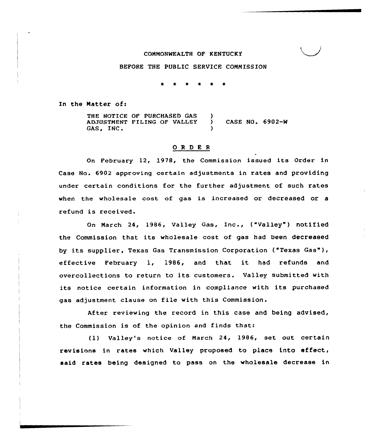### COMMONWEALTH OF KENTUCKY

#### BEFORE THE PUBLIC SERVICE COMMISSION

In the Matter of:

THE NOTICE OF PURCHASED GAS (1) ADJUSTMENT FILING OF VALLEY ) CASE NO. 6902-W GAS, INC.

#### ORDER

On February 12, 1978, the Commission issued its Order in Case No. 6902 approving certain adjustments in rates and providing under certain conditions for the further adjustment of such rates when the wholesale cost of gas is increased or decreased or <sup>a</sup> refund is received.

On March 24, 1986, Valley Gas, Inc., ("Valley") notified the Commission that its wholesale cost of gas had been decreased by its supplier, Texas Gas Transmission Corporation ("Texas Gas"), effective February 1, 1986, and that it had refunds and overcollections to return to its customers. Valley submitted with its notice certain information in compliance with its purchased gas adjustment clause on file with this Commission.

After reviewing the record in this case and being advised, the Commission is of the opinion and finds that:

(1) valley's notice of March 24, 1986, set out certain revisions in rates which Valley proposed to place into effect, said rates being designed to pass on the wholesale decrease in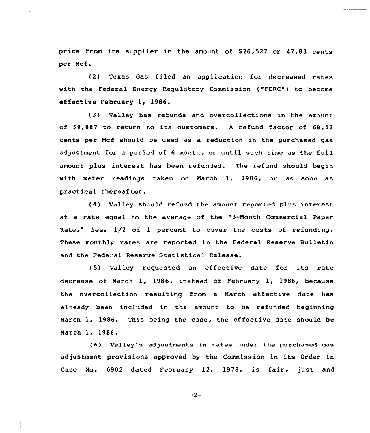price from its supplier in the amount of \$26,527 or 47.83 cents per Mcf.

(2) Texas Gas filed an application for decreased rates with the Federal Enexgy Regulatory Commission ("FERC") to become effective February 1, 1986.

(3) Valley has refunds and overcollections in the amount of \$9,887 to return to its customers. A refund factor of 68.52 cents pex Mcf should be used as a reduction in the purchased gas adjustment for a period of <sup>6</sup> months or until such time as the full amount plus interest has been refunded. The refund should begin with meter readings taken on March 1, 1986, or as soon as practical thereafter.

(4) Valley should refund the amount reported plus interest at a rate equal to the average of the "3-Month Commercial Paper Rates" less 1/2 of 1 percent to cover the costs of refunding. These monthly rates are xeported in the Federal Reserve Bulletin and the Federal Reserve Statistical Release.

(5) Valley requested an effective date for its rate decrease of Narch 1, 1986, instead of February 1, 1986, because the overcollection resulting from a Narch effective date has already been included in the amount to be refunded beginning March 1, 1986. This being the case, the effective date should be Narch 1, 1986.

(6) VaIley's adjustments in rates under the purchased gas adjustment provisions approved by the Commission in its Order in Case No. 6902 dated February 12, 1978, is fair, just and

 $-2-$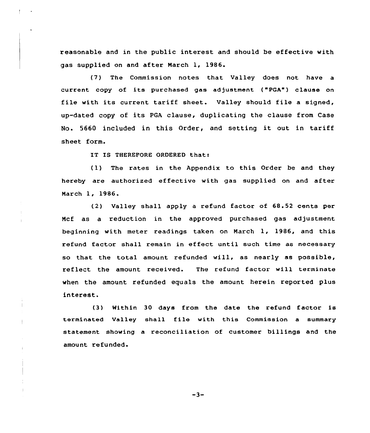reasonable and in the public interest and should be effective with gas supplied on and after Narch 1, 1986.

(7) The Commission notes that. Valley does not have a current copy of its purchased gas adjustment ("PGA") clause on file with its current tariff sheet. Valley should file <sup>a</sup> signed, up-dated copy of its PGA clause, duplicating the clause from Case No. <sup>5660</sup> included in this Order, and setting it out in tariff sheet form.

IT IS THEREFORE ORDERED that:

(1) The rates in the Appendix to this Order be and they hereby are authorised effective with gas supplied on and after Narch 1, 1986.

(2) Valley shall apply a refund factor of 68.52 cents per Ncf as a reduction in the approved purchased gas adjustment beginning with meter readings taken on Narch 1, 1986, and this refund factor shall remain in effect until such time as necessary so that the total amount refunded will, as nearly as possible, reflect the amount received. The refund factor will terminate when the amount refunded equals the amount herein reported plus interest.

(3) Within 30 days from the date the refund factor is terminated Valley shall file with this Commission <sup>a</sup> summary statement showing a reconciliation of customer billings and the amount refunded.

-3-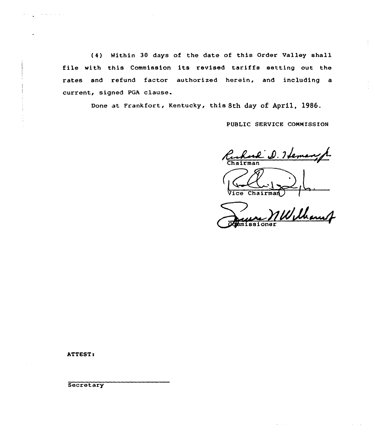(4) within 30 days of the date of this Order Valley shall file with this Commission its revised tariffs setting out the rates and refund factor authorised herein, and including a current, signed PGA clause.

Done at Frankfort, Kentucky, this 8th day of April, 1986.

PUBLIC SERVICE COMMISSION

s 8th day of<br>PUBLIC SER<br>Chairman Cuhard D. Hemangh

l~. Vice Chairma

Williams er

ATTEST<

**Secretary**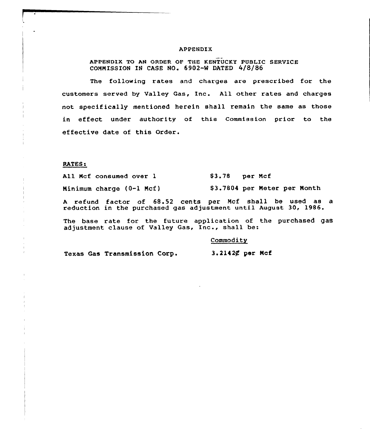### APPENDIX

APPENDIX TG AN GRDER GF THE KENTUCKY PU8LIC SERVICE COMMISSION IN CASE NO. 6902-W DATED 4/8/86

The following rates and charges are prescribed for the customers served by Valley Gas, Inc. All other rates and charges not specifically mentioned herein shall remain the same as those in effect under authority of this Commission prior to the effective date of this Order.

RATES

Mcf consumed over l Ninimum charge (O-l Ncf) \$3.78 per Ncf \$ 3.7804 per Neter per Month

<sup>A</sup> refund factor of 68.52 cents per Mcf shall be used as a reduction in the purchased gas adjustment until August 30, 1986.

The base rate for the future application of the purchased gas adjustment clause of Valley Gas, Inc., shall be:

**Commodity** 

Texas Gas Transmission Corp.

3.2142¢ per Mcf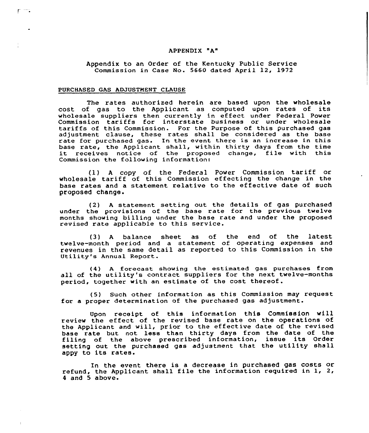### APPENDIX "A"

# Appendix to an Order of the Kentucky Public Service Commission in Case No. 5660 dated April 12, 1972

## PURCHASED GAS ADJUSTMENT CLAUSE

 $\Gamma$   $=$ 

The rates authorized herein are based upon the wholesale cost of gas to the Applicant as computed upon rates of its wholesale suppliers then currently in effect under Federal Power Commission tax'iffs for interstate business or under wholesale tariffs of this Commission. For the Purpose of this purchased gas adjustment clause, these rates shall be considered as the base rate for purchased gas. In the event there is an increase in this<br>base rate, the Applicant shall, within thirty days from the time base rate, the Applicant shall, within thirty days from the time it receives notice of the proposed change, file with this Commission the following information:

(1) <sup>A</sup> copy of the Federal Power Commission tariff or wholesale tariff of this Commission effecting the change in the base rates and <sup>a</sup> statement relative to the effective date of such proposed change.

(2) <sup>A</sup> statement setting out the details of gas purchased under the provisions of the base xate for the previous twelve months shoving billing under the base rate and under the proposed revised rate applicable to this service.

(3) A balance sheet as of the end of the lates twelve-month period and a statement of operating expenses and revenues in the same detail as reported to this Commission in the Utility's Annual Report.

{4) <sup>A</sup> forecast shoving the estimated gas purchases from all of the utility's contract suppliers for the next twelve-months period, together with an estimate of the cost thereof.

(5) Such other information as this Commission may request for a proper determination of the purchased gas adjustment.

Upon receipt of this information this Commission vill review the effect of the revised base rate on the operations of the Applicant and will, prior to the effective date of the revised base rate but not less than thirty days from the date of the filing of the above prescribed information, issue its Order setting out the purchased gas adjustment that the utility shall appy to its rates.

In the event there is a decrease in purchased gas costs or refund, the Applicant shall file the information required in 1, 2, 4 and 5 above.